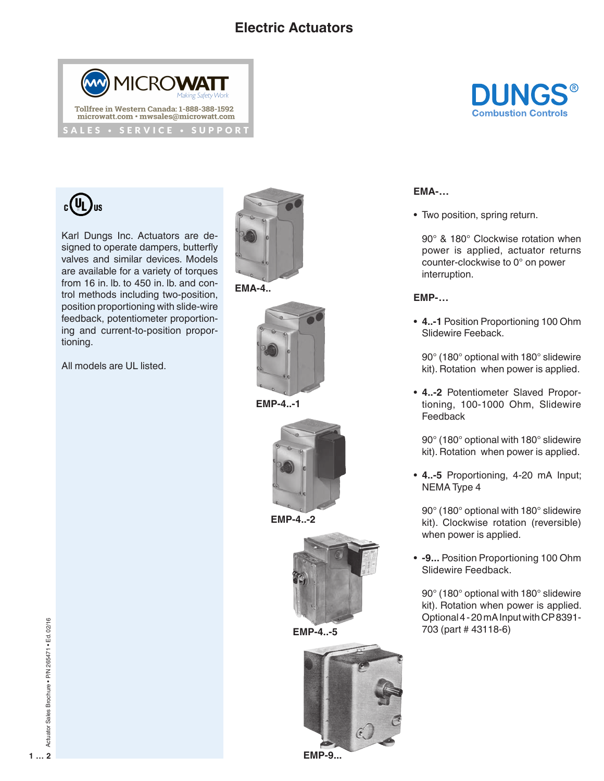## **Electric Actuators**





Karl Dungs Inc. Actuators are designed to operate dampers, butterfly valves and similar devices. Models are available for a variety of torques from 16 in. lb. to 450 in. lb. and control methods including two-position, position proportioning with slide-wire feedback, potentiometer proportioning and current-to-position proportioning.

All models are UL listed.







**EMP-4..-1**



**EMP-4..-2**



**EMP-4..-5**





**EMA-…**

• Two position, spring return.

90° & 180° Clockwise rotation when power is applied, actuator returns counter-clockwise to 0° on power interruption.

## **EMP-…**

• **4..-1** Position Proportioning 100 Ohm Slidewire Feeback.

90° (180° optional with 180° slidewire kit). Rotation when power is applied.

• **4..-2** Potentiometer Slaved Proportioning, 100-1000 Ohm, Slidewire Feedback

90° (180° optional with 180° slidewire kit). Rotation when power is applied.

• **4..-5** Proportioning, 4-20 mA Input; NEMA Type 4

90° (180° optional with 180° slidewire kit). Clockwise rotation (reversible) when power is applied.

• **-9...** Position Proportioning 100 Ohm Slidewire Feedback.

90° (180° optional with 180° slidewire kit). Rotation when power is applied. Optional 4 - 20 mA Input with CP 8391- 703 (part # 43118-6)